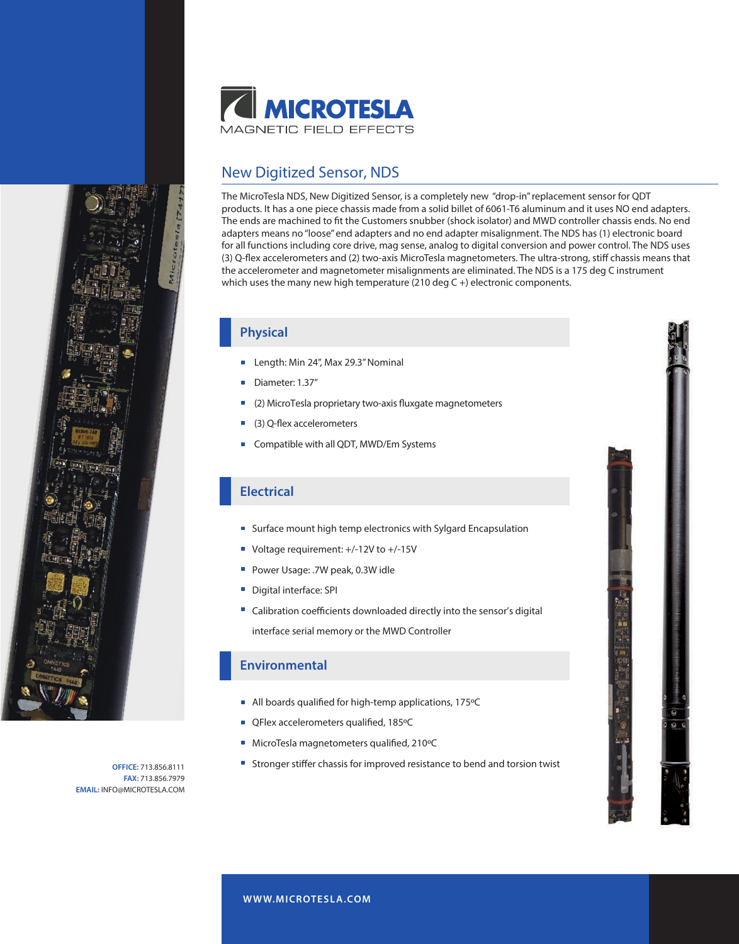

## New Digitized Sensor, NDS

The MicroTesla NDS, New Digitized Sensor, is a completely new "drop-in" replacement sensor for QDT products. It has a one piece chassis made from a solid billet of 6061-T6 aluminum and it uses NO end adapters. The ends are machined to fit the Customers snubber (shock isolator) and MWD controller chassis ends. No end adapters means no "loose" end adapters and no end adapter misalignment. The NDS has (1) electronic board for all functions including core drive, mag sense, analog to digital conversion and power control. The NDS uses (3) Q-flex accelerometers and (2) two-axis MicroTesla magnetometers. The ultra-strong, stiff chassis means that the accelerometer and magnetometer misalignments are eliminated. The NDS is a 175 deg C instrument which uses the many new high temperature (210 deg C +) electronic components.

### **Physical**

- Length: Min 24", Max 29.3" Nominal
- Diameter: 1.37"
- (2) MicroTesla proprietary two-axis fluxgate magnetometers
- (3) Q-flex accelerometers
- **Compatible with all QDT, MWD/Em Systems**

### **Electrical**

- **Surface mount high temp electronics with Sylgard Encapsulation**
- Voltage requirement: +/-12V to +/-15V
- Power Usage: .7W peak, 0.3W idle
- Digital interface: SPI  $\blacksquare$
- Calibration coefficients downloaded directly into the sensor's digital interface serial memory or the MWD Controller

#### **Environmental**

- All boards qualified for high-temp applications,  $175^{\circ}$ C
- QFlex accelerometers qualified, 185°C
- MicroTesla magnetometers qualified, 210°C
- Stronger stiffer chassis for improved resistance to bend and torsion twist

**OFFICE:** 713.856.8111 **FAX:** 713.856.7979 **EMAIL:** INFO@MICROTESLA.COM

**W WW.MICROTESLA.COM**